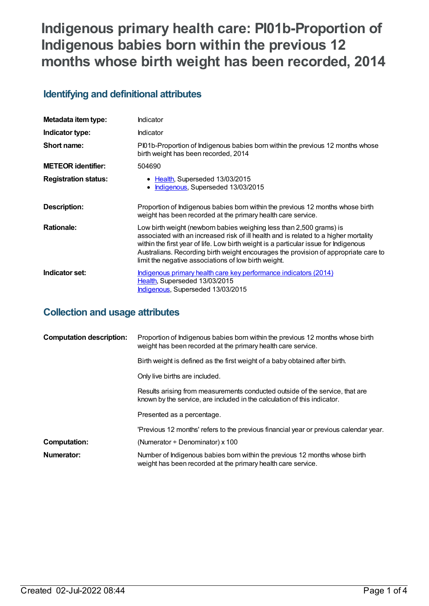# **Indigenous primary health care: PI01b-Proportion of Indigenous babies born within the previous 12 months whose birth weight has been recorded, 2014**

## **Identifying and definitional attributes**

| Metadata item type:         | Indicator                                                                                                                                                                                                                                                                                                                                                                                          |
|-----------------------------|----------------------------------------------------------------------------------------------------------------------------------------------------------------------------------------------------------------------------------------------------------------------------------------------------------------------------------------------------------------------------------------------------|
| Indicator type:             | Indicator                                                                                                                                                                                                                                                                                                                                                                                          |
| Short name:                 | Pl01b-Proportion of Indigenous babies born within the previous 12 months whose<br>birth weight has been recorded, 2014                                                                                                                                                                                                                                                                             |
| <b>METEOR</b> identifier:   | 504690                                                                                                                                                                                                                                                                                                                                                                                             |
| <b>Registration status:</b> | • Health, Superseded 13/03/2015<br>Indigenous, Superseded 13/03/2015                                                                                                                                                                                                                                                                                                                               |
| Description:                | Proportion of Indigenous babies born within the previous 12 months whose birth<br>weight has been recorded at the primary health care service.                                                                                                                                                                                                                                                     |
| <b>Rationale:</b>           | Low birth weight (newborn babies weighing less than 2,500 grams) is<br>associated with an increased risk of ill health and is related to a higher mortality<br>within the first year of life. Low birth weight is a particular issue for Indigenous<br>Australians. Recording birth weight encourages the provision of appropriate care to<br>limit the negative associations of low birth weight. |
| Indicator set:              | <u>Indigenous primary health care key performance indicators (2014)</u><br>Health, Superseded 13/03/2015<br>Indigenous, Superseded 13/03/2015                                                                                                                                                                                                                                                      |

## **Collection and usage attributes**

| <b>Computation description:</b> | Proportion of Indigenous babies born within the previous 12 months whose birth<br>weight has been recorded at the primary health care service.           |
|---------------------------------|----------------------------------------------------------------------------------------------------------------------------------------------------------|
|                                 | Birth weight is defined as the first weight of a baby obtained after birth.                                                                              |
|                                 | Only live births are included.                                                                                                                           |
|                                 | Results arising from measurements conducted outside of the service, that are<br>known by the service, are included in the calculation of this indicator. |
|                                 | Presented as a percentage.                                                                                                                               |
|                                 | 'Previous 12 months' refers to the previous financial year or previous calendar year.                                                                    |
| <b>Computation:</b>             | (Numerator $\div$ Denominator) x 100                                                                                                                     |
| Numerator:                      | Number of Indigenous babies born within the previous 12 months whose birth<br>weight has been recorded at the primary health care service.               |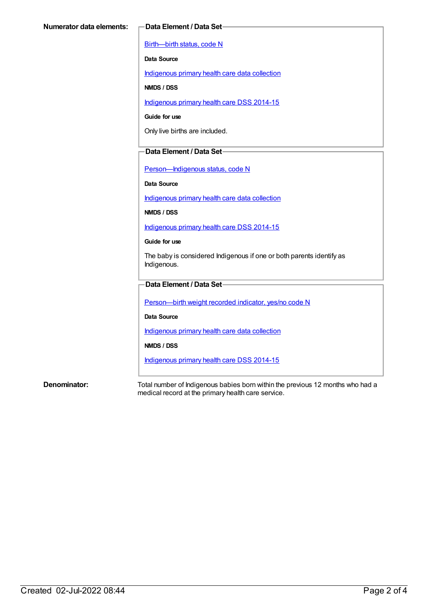[Birth—birth](https://meteor.aihw.gov.au/content/269949) status, code N

**Data Source**

[Indigenous](https://meteor.aihw.gov.au/content/430643) primary health care data collection

**NMDS / DSS**

[Indigenous](https://meteor.aihw.gov.au/content/504325) primary health care DSS 2014-15

**Guide for use**

Only live births are included.

### **Data Element / Data Set**

[Person—Indigenous](https://meteor.aihw.gov.au/content/291036) status, code N

**Data Source**

[Indigenous](https://meteor.aihw.gov.au/content/430643) primary health care data collection

**NMDS / DSS**

[Indigenous](https://meteor.aihw.gov.au/content/504325) primary health care DSS 2014-15

**Guide for use**

The baby is considered Indigenous if one or both parents identify as Indigenous.

### **Data Element / Data Set**

[Person—birth](https://meteor.aihw.gov.au/content/441701) weight recorded indicator, yes/no code N

**Data Source**

[Indigenous](https://meteor.aihw.gov.au/content/430643) primary health care data collection

**NMDS / DSS**

[Indigenous](https://meteor.aihw.gov.au/content/504325) primary health care DSS 2014-15

**Denominator:** Total number of Indigenous babies born within the previous 12 months who had a medical record at the primary health care service.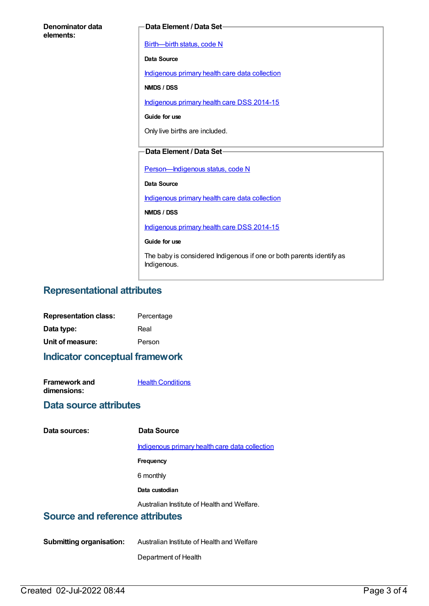| Denominator data<br>elements: | Data Element / Data Set-                                                            |
|-------------------------------|-------------------------------------------------------------------------------------|
|                               | Birth-birth status, code N                                                          |
|                               | Data Source                                                                         |
|                               | Indigenous primary health care data collection                                      |
|                               | NMDS / DSS                                                                          |
|                               | Indigenous primary health care DSS 2014-15                                          |
|                               | Guide for use                                                                       |
|                               | Only live births are included.                                                      |
|                               | Data Element / Data Set-                                                            |
|                               |                                                                                     |
|                               | Person-Indigenous status, code N                                                    |
|                               | Data Source                                                                         |
|                               | Indigenous primary health care data collection                                      |
|                               | NMDS / DSS                                                                          |
|                               | Indigenous primary health care DSS 2014-15                                          |
|                               | Guide for use                                                                       |
|                               | The baby is considered Indigenous if one or both parents identify as<br>Indigenous. |

## **Representational attributes**

| <b>Representation class:</b> | Percentage |
|------------------------------|------------|
| Data type:                   | Real       |
| Unit of measure:             | Person     |

**Indicator conceptual framework**

| <b>Framework and</b> | <b>Health Conditions</b> |
|----------------------|--------------------------|
| dimensions:          |                          |

### **Data source attributes**

### **Data sources: Data Source**

[Indigenous](https://meteor.aihw.gov.au/content/430643) primary health care data collection

**Frequency**

6 monthly

**Data custodian**

Australian Institute of Health and Welfare.

### **Source and reference attributes**

**Submitting organisation:** Australian Institute of Health and Welfare

Department of Health